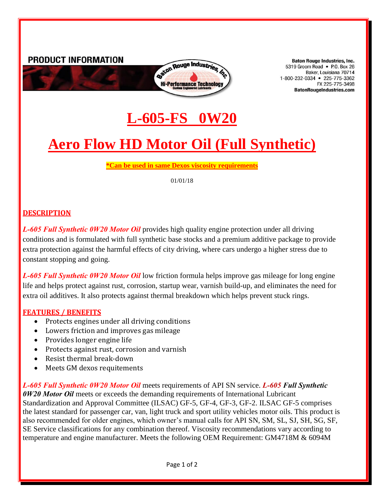

**Baton Rouge Industries, Inc.** 5319 Groom Road • P.O. Box 26 Baker, Louisiana 70714 1-800-232-0334 • 225-775-3362 FX 225-775-3498 **BatonRougeIndustries.com** 

## **L-605-FS 0W20**

# **Aero Flow HD Motor Oil (Full Synthetic)**

**\*Can be used in same Dexos viscosity requirements**

01/01/18

#### **DESCRIPTION**

*L-605 Full Synthetic 0W20 Motor Oil* provides high quality engine protection under all driving conditions and is formulated with full synthetic base stocks and a premium additive package to provide extra protection against the harmful effects of city driving, where cars undergo a higher stress due to constant stopping and going.

*L-605 Full Synthetic 0W20 Motor Oil* low friction formula helps improve gas mileage for long engine life and helps protect against rust, corrosion, startup wear, varnish build-up, and eliminates the need for extra oil additives. It also protects against thermal breakdown which helps prevent stuck rings.

#### **FEATURES / BENEFITS**

- Protects engines under all driving conditions
- Lowers friction and improves gas mileage
- Provides longer engine life
- Protects against rust, corrosion and varnish
- Resist thermal break-down
- Meets GM dexos requitements

*L-605 Full Synthetic 0W20 Motor Oil* meets requirements of API SN service. *L-605 Full Synthetic 0W20 Motor Oil* meets or exceeds the demanding requirements of International Lubricant Standardization and Approval Committee (ILSAC) GF-5, GF-4, GF-3, GF-2. ILSAC GF-5 comprises the latest standard for passenger car, van, light truck and sport utility vehicles motor oils. This product is also recommended for older engines, which owner's manual calls for API SN, SM, SL, SJ, SH, SG, SF, SE Service classifications for any combination thereof. Viscosity recommendations vary according to temperature and engine manufacturer. Meets the following OEM Requirement: GM4718M & 6094M